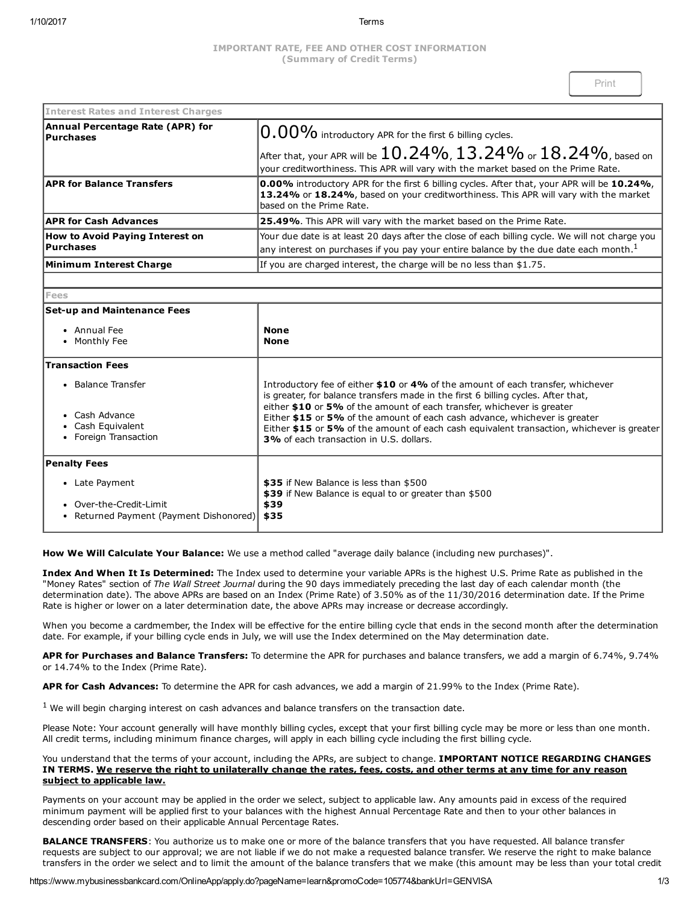# IMPORTANT RATE, FEE AND OTHER COST INFORMATION (Summary of Credit Terms)

| <b>Interest Rates and Interest Charges</b>           |                                                                                                                                                                                                                                |
|------------------------------------------------------|--------------------------------------------------------------------------------------------------------------------------------------------------------------------------------------------------------------------------------|
| Annual Percentage Rate (APR) for<br><b>Purchases</b> | $ 0.00\%$ introductory APR for the first 6 billing cycles.<br>After that, your APR will be $10.24\%$ , $13.24\%$ or $18.24\%$ , based on<br>your creditworthiness. This APR will vary with the market based on the Prime Rate. |
| <b>APR for Balance Transfers</b>                     | <b>0.00%</b> introductory APR for the first 6 billing cycles. After that, your APR will be 10.24%,<br>13.24% or 18.24%, based on your creditworthiness. This APR will vary with the market<br>based on the Prime Rate.         |
| <b>APR for Cash Advances</b>                         | 25.49%. This APR will vary with the market based on the Prime Rate.                                                                                                                                                            |
| <b>How to Avoid Paying Interest on</b><br>Purchases  | Your due date is at least 20 days after the close of each billing cycle. We will not charge you<br>any interest on purchases if you pay your entire balance by the due date each month. <sup>1</sup>                           |
| Minimum Interest Charge                              | If you are charged interest, the charge will be no less than \$1.75.                                                                                                                                                           |
|                                                      |                                                                                                                                                                                                                                |

Fees

#### **Set-up and Maintenance Fees** Annual Fee • Monthly Fee None None Transaction Fees • Balance Transfer Cash Advance Cash Equivalent • Foreign Transaction Introductory fee of either \$10 or 4% of the amount of each transfer, whichever is greater, for balance transfers made in the first 6 billing cycles. After that, either \$10 or 5% of the amount of each transfer, whichever is greater Either \$15 or 5% of the amount of each cash advance, whichever is greater Either \$15 or 5% of the amount of each cash equivalent transaction, whichever is greater 3% of each transaction in U.S. dollars. Penalty Fees Late Payment • Over-the-Credit-Limit • Returned Payment (Payment Dishonored) \$35 if New Balance is less than \$500 \$39 if New Balance is equal to or greater than \$500 \$39 \$35

How We Will Calculate Your Balance: We use a method called "average daily balance (including new purchases)".

Index And When It Is Determined: The Index used to determine your variable APRs is the highest U.S. Prime Rate as published in the "Money Rates" section of The Wall Street Journal during the 90 days immediately preceding the last day of each calendar month (the determination date). The above APRs are based on an Index (Prime Rate) of 3.50% as of the 11/30/2016 determination date. If the Prime Rate is higher or lower on a later determination date, the above APRs may increase or decrease accordingly.

When you become a cardmember, the Index will be effective for the entire billing cycle that ends in the second month after the determination date. For example, if your billing cycle ends in July, we will use the Index determined on the May determination date.

APR for Purchases and Balance Transfers: To determine the APR for purchases and balance transfers, we add a margin of 6.74%, 9.74% or 14.74% to the Index (Prime Rate).

APR for Cash Advances: To determine the APR for cash advances, we add a margin of 21.99% to the Index (Prime Rate).

 $<sup>1</sup>$  We will begin charging interest on cash advances and balance transfers on the transaction date.</sup>

Please Note: Your account generally will have monthly billing cycles, except that your first billing cycle may be more or less than one month. All credit terms, including minimum finance charges, will apply in each billing cycle including the first billing cycle.

## You understand that the terms of your account, including the APRs, are subject to change. IMPORTANT NOTICE REGARDING CHANGES IN TERMS. We reserve the right to unilaterally change the rates, fees, costs, and other terms at any time for any reason subject to applicable law.

Payments on your account may be applied in the order we select, subject to applicable law. Any amounts paid in excess of the required minimum payment will be applied first to your balances with the highest Annual Percentage Rate and then to your other balances in descending order based on their applicable Annual Percentage Rates.

BALANCE TRANSFERS: You authorize us to make one or more of the balance transfers that you have requested. All balance transfer requests are subject to our approval; we are not liable if we do not make a requested balance transfer. We reserve the right to make balance transfers in the order we select and to limit the amount of the balance transfers that we make (this amount may be less than your total credit

https://www.mybusinessbankcard.com/OnlineApp/apply.do?pageName=learn&promoCode=105774&bankUrl=GENVISA 1/3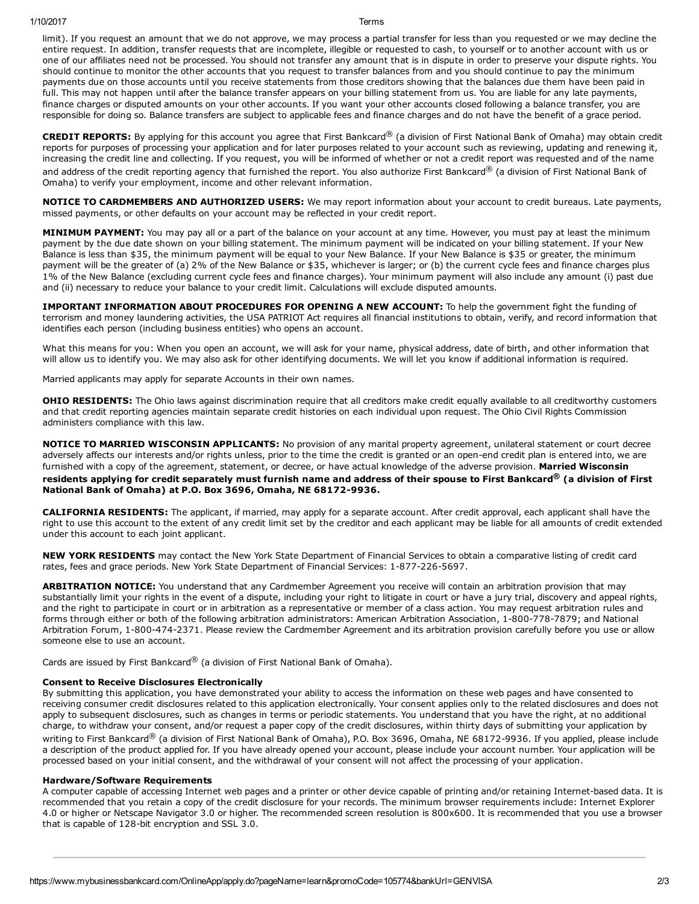limit). If you request an amount that we do not approve, we may process a partial transfer for less than you requested or we may decline the entire request. In addition, transfer requests that are incomplete, illegible or requested to cash, to yourself or to another account with us or one of our affiliates need not be processed. You should not transfer any amount that is in dispute in order to preserve your dispute rights. You should continue to monitor the other accounts that you request to transfer balances from and you should continue to pay the minimum payments due on those accounts until you receive statements from those creditors showing that the balances due them have been paid in full. This may not happen until after the balance transfer appears on your billing statement from us. You are liable for any late payments, finance charges or disputed amounts on your other accounts. If you want your other accounts closed following a balance transfer, you are responsible for doing so. Balance transfers are subject to applicable fees and finance charges and do not have the benefit of a grace period.

CREDIT REPORTS: By applying for this account you agree that First Bankcard® (a division of First National Bank of Omaha) may obtain credit reports for purposes of processing your application and for later purposes related to your account such as reviewing, updating and renewing it, increasing the credit line and collecting. If you request, you will be informed of whether or not a credit report was requested and of the name and address of the credit reporting agency that furnished the report. You also authorize First Bankcard® (a division of First National Bank of Omaha) to verify your employment, income and other relevant information.

NOTICE TO CARDMEMBERS AND AUTHORIZED USERS: We may report information about your account to credit bureaus. Late payments, missed payments, or other defaults on your account may be reflected in your credit report.

MINIMUM PAYMENT: You may pay all or a part of the balance on your account at any time. However, you must pay at least the minimum payment by the due date shown on your billing statement. The minimum payment will be indicated on your billing statement. If your New Balance is less than \$35, the minimum payment will be equal to your New Balance. If your New Balance is \$35 or greater, the minimum payment will be the greater of (a) 2% of the New Balance or \$35, whichever is larger; or (b) the current cycle fees and finance charges plus 1% of the New Balance (excluding current cycle fees and finance charges). Your minimum payment will also include any amount (i) past due and (ii) necessary to reduce your balance to your credit limit. Calculations will exclude disputed amounts.

IMPORTANT INFORMATION ABOUT PROCEDURES FOR OPENING A NEW ACCOUNT: To help the government fight the funding of terrorism and money laundering activities, the USA PATRIOT Act requires all financial institutions to obtain, verify, and record information that identifies each person (including business entities) who opens an account.

What this means for you: When you open an account, we will ask for your name, physical address, date of birth, and other information that will allow us to identify you. We may also ask for other identifying documents. We will let you know if additional information is required.

Married applicants may apply for separate Accounts in their own names.

OHIO RESIDENTS: The Ohio laws against discrimination require that all creditors make credit equally available to all creditworthy customers and that credit reporting agencies maintain separate credit histories on each individual upon request. The Ohio Civil Rights Commission administers compliance with this law.

NOTICE TO MARRIED WISCONSIN APPLICANTS: No provision of any marital property agreement, unilateral statement or court decree adversely affects our interests and/or rights unless, prior to the time the credit is granted or an open-end credit plan is entered into, we are furnished with a copy of the agreement, statement, or decree, or have actual knowledge of the adverse provision. Married Wisconsin

## residents applying for credit separately must furnish name and address of their spouse to First Bankcard® (a division of First National Bank of Omaha) at P.O. Box 3696, Omaha, NE 68172-9936.

CALIFORNIA RESIDENTS: The applicant, if married, may apply for a separate account. After credit approval, each applicant shall have the right to use this account to the extent of any credit limit set by the creditor and each applicant may be liable for all amounts of credit extended under this account to each joint applicant.

NEW YORK RESIDENTS may contact the New York State Department of Financial Services to obtain a comparative listing of credit card rates, fees and grace periods. New York State Department of Financial Services: 1-877-226-5697.

ARBITRATION NOTICE: You understand that any Cardmember Agreement you receive will contain an arbitration provision that may substantially limit your rights in the event of a dispute, including your right to litigate in court or have a jury trial, discovery and appeal rights, and the right to participate in court or in arbitration as a representative or member of a class action. You may request arbitration rules and forms through either or both of the following arbitration administrators: American Arbitration Association, 1-800-778-7879; and National Arbitration Forum, 1-800-474-2371. Please review the Cardmember Agreement and its arbitration provision carefully before you use or allow someone else to use an account.

Cards are issued by First Bankcard® (a division of First National Bank of Omaha).

# Consent to Receive Disclosures Electronically

By submitting this application, you have demonstrated your ability to access the information on these web pages and have consented to receiving consumer credit disclosures related to this application electronically. Your consent applies only to the related disclosures and does not apply to subsequent disclosures, such as changes in terms or periodic statements. You understand that you have the right, at no additional charge, to withdraw your consent, and/or request a paper copy of the credit disclosures, within thirty days of submitting your application by writing to First Bankcard® (a division of First National Bank of Omaha), P.O. Box 3696, Omaha, NE 68172-9936. If you applied, please include a description of the product applied for. If you have already opened your account, please include your account number. Your application will be processed based on your initial consent, and the withdrawal of your consent will not affect the processing of your application.

# Hardware/Software Requirements

A computer capable of accessing Internet web pages and a printer or other device capable of printing and/or retaining Internet-based data. It is recommended that you retain a copy of the credit disclosure for your records. The minimum browser requirements include: Internet Explorer 4.0 or higher or Netscape Navigator 3.0 or higher. The recommended screen resolution is 800x600. It is recommended that you use a browser that is capable of 128-bit encryption and SSL 3.0.